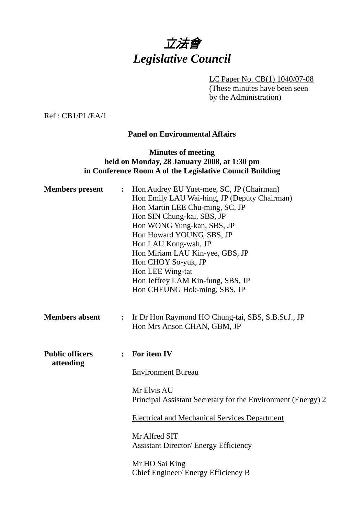

LC Paper No. CB(1) 1040/07-08 (These minutes have been seen by the Administration)

Ref : CB1/PL/EA/1

# **Panel on Environmental Affairs**

# **Minutes of meeting held on Monday, 28 January 2008, at 1:30 pm in Conference Room A of the Legislative Council Building**

| <b>Members</b> present              | $\ddot{\cdot}$ | Hon Audrey EU Yuet-mee, SC, JP (Chairman)<br>Hon Emily LAU Wai-hing, JP (Deputy Chairman)<br>Hon Martin LEE Chu-ming, SC, JP<br>Hon SIN Chung-kai, SBS, JP<br>Hon WONG Yung-kan, SBS, JP<br>Hon Howard YOUNG, SBS, JP<br>Hon LAU Kong-wah, JP<br>Hon Miriam LAU Kin-yee, GBS, JP<br>Hon CHOY So-yuk, JP<br>Hon LEE Wing-tat<br>Hon Jeffrey LAM Kin-fung, SBS, JP<br>Hon CHEUNG Hok-ming, SBS, JP |
|-------------------------------------|----------------|--------------------------------------------------------------------------------------------------------------------------------------------------------------------------------------------------------------------------------------------------------------------------------------------------------------------------------------------------------------------------------------------------|
| <b>Members absent</b>               | $\ddot{\cdot}$ | Ir Dr Hon Raymond HO Chung-tai, SBS, S.B.St.J., JP<br>Hon Mrs Anson CHAN, GBM, JP                                                                                                                                                                                                                                                                                                                |
| <b>Public officers</b><br>attending |                | For item IV<br><b>Environment Bureau</b><br>Mr Elvis AU<br>Principal Assistant Secretary for the Environment (Energy) 2<br><b>Electrical and Mechanical Services Department</b><br>Mr Alfred SIT<br><b>Assistant Director/ Energy Efficiency</b><br>Mr HO Sai King                                                                                                                               |
|                                     |                | Chief Engineer/ Energy Efficiency B                                                                                                                                                                                                                                                                                                                                                              |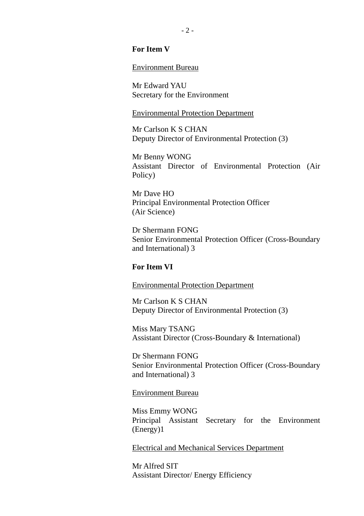#### **For Item V**

#### Environment Bureau

Mr Edward YAU Secretary for the Environment

#### Environmental Protection Department

Mr Carlson K S CHAN Deputy Director of Environmental Protection (3)

Mr Benny WONG Assistant Director of Environmental Protection (Air Policy)

Mr Dave HO Principal Environmental Protection Officer (Air Science)

Dr Shermann FONG Senior Environmental Protection Officer (Cross-Boundary and International) 3

#### **For Item VI**

#### Environmental Protection Department

Mr Carlson K S CHAN Deputy Director of Environmental Protection (3)

Miss Mary TSANG Assistant Director (Cross-Boundary & International)

Dr Shermann FONG Senior Environmental Protection Officer (Cross-Boundary and International) 3

#### Environment Bureau

Miss Emmy WONG Principal Assistant Secretary for the Environment (Energy)1

Electrical and Mechanical Services Department

Mr Alfred SIT Assistant Director/ Energy Efficiency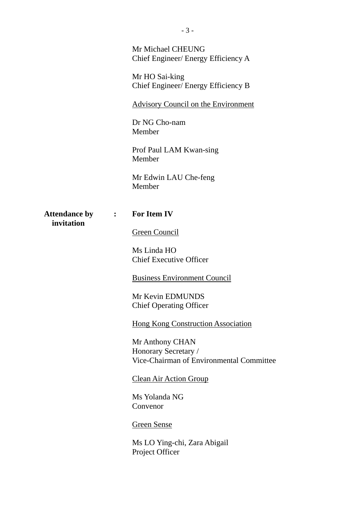Mr Michael CHEUNG Chief Engineer/ Energy Efficiency A

Mr HO Sai-king Chief Engineer/ Energy Efficiency B

Advisory Council on the Environment

Dr NG Cho-nam Member

Prof Paul LAM Kwan-sing Member

Mr Edwin LAU Che-feng Member

**Attendance by : For Item IV invitation** 

Green Council

Ms Linda HO Chief Executive Officer

Business Environment Council

Mr Kevin EDMUNDS Chief Operating Officer

Hong Kong Construction Association

Mr Anthony CHAN Honorary Secretary / Vice-Chairman of Environmental Committee

#### Clean Air Action Group

Ms Yolanda NG Convenor

Green Sense

Ms LO Ying-chi, Zara Abigail Project Officer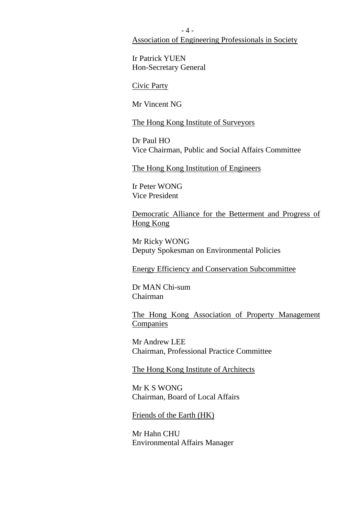$-4-$ Association of Engineering Professionals in Society

Ir Patrick YUEN Hon-Secretary General

Civic Party

Mr Vincent NG

The Hong Kong Institute of Surveyors

Dr Paul HO Vice Chairman, Public and Social Affairs Committee

The Hong Kong Institution of Engineers

Ir Peter WONG Vice President

Democratic Alliance for the Betterment and Progress of Hong Kong

Mr Ricky WONG Deputy Spokesman on Environmental Policies

Energy Efficiency and Conservation Subcommittee

Dr MAN Chi-sum Chairman

The Hong Kong Association of Property Management **Companies** 

Mr Andrew LEE Chairman, Professional Practice Committee

The Hong Kong Institute of Architects

Mr K S WONG Chairman, Board of Local Affairs

Friends of the Earth (HK)

Mr Hahn CHU Environmental Affairs Manager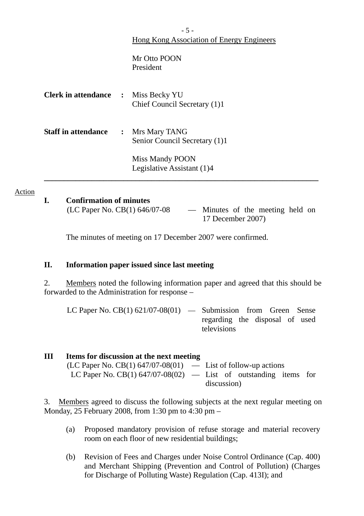|                                           |                | $-5-$                                                             |  |  |  |
|-------------------------------------------|----------------|-------------------------------------------------------------------|--|--|--|
| Hong Kong Association of Energy Engineers |                |                                                                   |  |  |  |
|                                           |                | Mr Otto POON<br>President                                         |  |  |  |
| <b>Clerk in attendance :</b>              |                | Miss Becky YU<br>Chief Council Secretary (1)1                     |  |  |  |
| <b>Staff in attendance</b>                | $\ddot{\cdot}$ | Mrs Mary TANG<br>Senior Council Secretary (1)1<br>Miss Mandy POON |  |  |  |
|                                           |                | Legislative Assistant (1)4                                        |  |  |  |
|                                           |                |                                                                   |  |  |  |

**I. Confirmation of minutes** 

Action

(LC Paper No. CB(1) 646/07-08 — Minutes of the meeting held on 17 December 2007)

The minutes of meeting on 17 December 2007 were confirmed.

## **II. Information paper issued since last meeting**

2. Members noted the following information paper and agreed that this should be forwarded to the Administration for response –

| LC Paper No. $CB(1)$ 621/07-08(01) — Submission from Green Sense |                                               |  |  |  |
|------------------------------------------------------------------|-----------------------------------------------|--|--|--|
|                                                                  | regarding the disposal of used<br>televisions |  |  |  |

| Ш | Items for discussion at the next meeting                           |             |  |  |
|---|--------------------------------------------------------------------|-------------|--|--|
|   | $(LC$ Paper No. CB(1) 647/07-08(01) — List of follow-up actions    |             |  |  |
|   | LC Paper No. CB(1) $647/07-08(02)$ — List of outstanding items for |             |  |  |
|   |                                                                    | discussion) |  |  |

3. Members agreed to discuss the following subjects at the next regular meeting on Monday, 25 February 2008, from 1:30 pm to 4:30 pm –

- (a) Proposed mandatory provision of refuse storage and material recovery room on each floor of new residential buildings;
- (b) Revision of Fees and Charges under Noise Control Ordinance (Cap. 400) and Merchant Shipping (Prevention and Control of Pollution) (Charges for Discharge of Polluting Waste) Regulation (Cap. 413I); and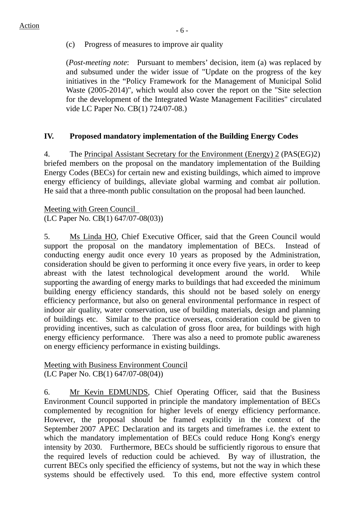(c) Progress of measures to improve air quality

(*Post-meeting note*: Pursuant to members' decision, item (a) was replaced by and subsumed under the wider issue of "Update on the progress of the key initiatives in the "Policy Framework for the Management of Municipal Solid Waste (2005-2014)", which would also cover the report on the "Site selection for the development of the Integrated Waste Management Facilities" circulated vide LC Paper No. CB(1) 724/07-08.)

# **IV. Proposed mandatory implementation of the Building Energy Codes**

4. The Principal Assistant Secretary for the Environment (Energy) 2 (PAS(EG)2) briefed members on the proposal on the mandatory implementation of the Building Energy Codes (BECs) for certain new and existing buildings, which aimed to improve energy efficiency of buildings, alleviate global warming and combat air pollution. He said that a three-month public consultation on the proposal had been launched.

Meeting with Green Council (LC Paper No. CB(1) 647/07-08(03))

5. Ms Linda HO, Chief Executive Officer, said that the Green Council would support the proposal on the mandatory implementation of BECs. Instead of conducting energy audit once every 10 years as proposed by the Administration, consideration should be given to performing it once every five years, in order to keep abreast with the latest technological development around the world. While supporting the awarding of energy marks to buildings that had exceeded the minimum building energy efficiency standards, this should not be based solely on energy efficiency performance, but also on general environmental performance in respect of indoor air quality, water conservation, use of building materials, design and planning of buildings etc. Similar to the practice overseas, consideration could be given to providing incentives, such as calculation of gross floor area, for buildings with high energy efficiency performance. There was also a need to promote public awareness on energy efficiency performance in existing buildings.

Meeting with Business Environment Council (LC Paper No. CB(1) 647/07-08(04))

6. Mr Kevin EDMUNDS, Chief Operating Officer, said that the Business Environment Council supported in principle the mandatory implementation of BECs complemented by recognition for higher levels of energy efficiency performance. However, the proposal should be framed explicitly in the context of the September 2007 APEC Declaration and its targets and timeframes i.e. the extent to which the mandatory implementation of BECs could reduce Hong Kong's energy intensity by 2030. Furthermore, BECs should be sufficiently rigorous to ensure that the required levels of reduction could be achieved. By way of illustration, the current BECs only specified the efficiency of systems, but not the way in which these systems should be effectively used. To this end, more effective system control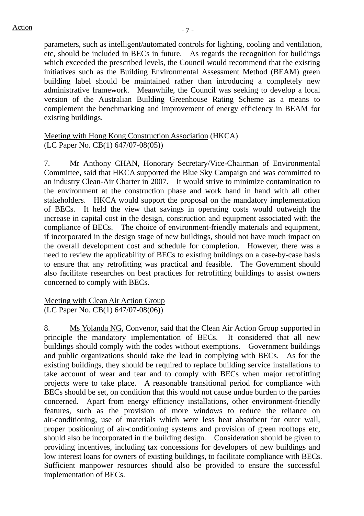parameters, such as intelligent/automated controls for lighting, cooling and ventilation, etc, should be included in BECs in future. As regards the recognition for buildings which exceeded the prescribed levels, the Council would recommend that the existing initiatives such as the Building Environmental Assessment Method (BEAM) green building label should be maintained rather than introducing a completely new administrative framework. Meanwhile, the Council was seeking to develop a local version of the Australian Building Greenhouse Rating Scheme as a means to complement the benchmarking and improvement of energy efficiency in BEAM for existing buildings.

## Meeting with Hong Kong Construction Association (HKCA) (LC Paper No. CB(1) 647/07-08(05))

7. Mr Anthony CHAN, Honorary Secretary/Vice-Chairman of Environmental Committee, said that HKCA supported the Blue Sky Campaign and was committed to an industry Clean-Air Charter in 2007. It would strive to minimize contamination to the environment at the construction phase and work hand in hand with all other stakeholders. HKCA would support the proposal on the mandatory implementation of BECs. It held the view that savings in operating costs would outweigh the increase in capital cost in the design, construction and equipment associated with the compliance of BECs. The choice of environment-friendly materials and equipment, if incorporated in the design stage of new buildings, should not have much impact on the overall development cost and schedule for completion. However, there was a need to review the applicability of BECs to existing buildings on a case-by-case basis to ensure that any retrofitting was practical and feasible. The Government should also facilitate researches on best practices for retrofitting buildings to assist owners concerned to comply with BECs.

## Meeting with Clean Air Action Group (LC Paper No. CB(1) 647/07-08(06))

8. Ms Yolanda NG, Convenor, said that the Clean Air Action Group supported in principle the mandatory implementation of BECs. It considered that all new buildings should comply with the codes without exemptions. Government buildings and public organizations should take the lead in complying with BECs. As for the existing buildings, they should be required to replace building service installations to take account of wear and tear and to comply with BECs when major retrofitting projects were to take place. A reasonable transitional period for compliance with BECs should be set, on condition that this would not cause undue burden to the parties concerned. Apart from energy efficiency installations, other environment-friendly features, such as the provision of more windows to reduce the reliance on air-conditioning, use of materials which were less heat absorbent for outer wall, proper positioning of air-conditioning systems and provision of green rooftops etc, should also be incorporated in the building design. Consideration should be given to providing incentives, including tax concessions for developers of new buildings and low interest loans for owners of existing buildings, to facilitate compliance with BECs. Sufficient manpower resources should also be provided to ensure the successful implementation of BECs.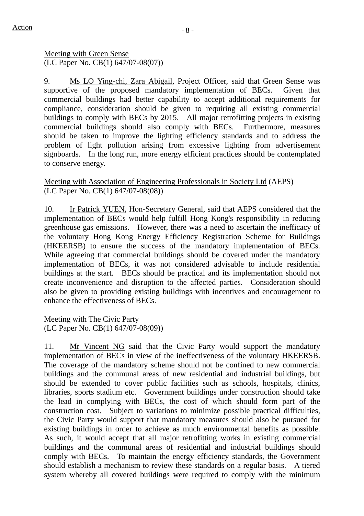Meeting with Green Sense (LC Paper No. CB(1) 647/07-08(07))

9. Ms LO Ying-chi, Zara Abigail, Project Officer, said that Green Sense was supportive of the proposed mandatory implementation of BECs. Given that commercial buildings had better capability to accept additional requirements for compliance, consideration should be given to requiring all existing commercial buildings to comply with BECs by 2015. All major retrofitting projects in existing commercial buildings should also comply with BECs. Furthermore, measures should be taken to improve the lighting efficiency standards and to address the problem of light pollution arising from excessive lighting from advertisement signboards. In the long run, more energy efficient practices should be contemplated to conserve energy.

# Meeting with Association of Engineering Professionals in Society Ltd (AEPS) (LC Paper No. CB(1) 647/07-08(08))

10. Ir Patrick YUEN, Hon-Secretary General, said that AEPS considered that the implementation of BECs would help fulfill Hong Kong's responsibility in reducing greenhouse gas emissions. However, there was a need to ascertain the inefficacy of the voluntary Hong Kong Energy Efficiency Registration Scheme for Buildings (HKEERSB) to ensure the success of the mandatory implementation of BECs. While agreeing that commercial buildings should be covered under the mandatory implementation of BECs, it was not considered advisable to include residential buildings at the start. BECs should be practical and its implementation should not create inconvenience and disruption to the affected parties. Consideration should also be given to providing existing buildings with incentives and encouragement to enhance the effectiveness of BECs.

Meeting with The Civic Party (LC Paper No. CB(1) 647/07-08(09))

11. Mr Vincent NG said that the Civic Party would support the mandatory implementation of BECs in view of the ineffectiveness of the voluntary HKEERSB. The coverage of the mandatory scheme should not be confined to new commercial buildings and the communal areas of new residential and industrial buildings, but should be extended to cover public facilities such as schools, hospitals, clinics, libraries, sports stadium etc. Government buildings under construction should take the lead in complying with BECs, the cost of which should form part of the construction cost. Subject to variations to minimize possible practical difficulties, the Civic Party would support that mandatory measures should also be pursued for existing buildings in order to achieve as much environmental benefits as possible. As such, it would accept that all major retrofitting works in existing commercial buildings and the communal areas of residential and industrial buildings should comply with BECs. To maintain the energy efficiency standards, the Government should establish a mechanism to review these standards on a regular basis. A tiered system whereby all covered buildings were required to comply with the minimum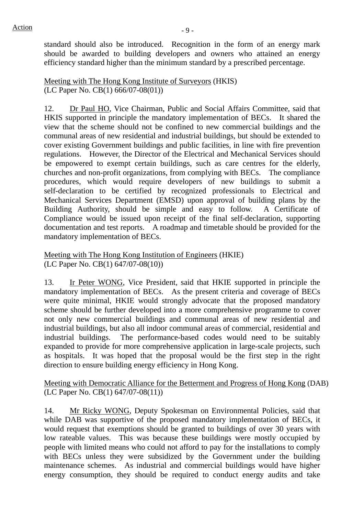standard should also be introduced. Recognition in the form of an energy mark should be awarded to building developers and owners who attained an energy efficiency standard higher than the minimum standard by a prescribed percentage.

Meeting with The Hong Kong Institute of Surveyors (HKIS) (LC Paper No. CB(1) 666/07-08(01))

12. Dr Paul HO, Vice Chairman, Public and Social Affairs Committee, said that HKIS supported in principle the mandatory implementation of BECs. It shared the view that the scheme should not be confined to new commercial buildings and the communal areas of new residential and industrial buildings, but should be extended to cover existing Government buildings and public facilities, in line with fire prevention regulations. However, the Director of the Electrical and Mechanical Services should be empowered to exempt certain buildings, such as care centres for the elderly, churches and non-profit organizations, from complying with BECs. The compliance procedures, which would require developers of new buildings to submit a self-declaration to be certified by recognized professionals to Electrical and Mechanical Services Department (EMSD) upon approval of building plans by the Building Authority, should be simple and easy to follow. A Certificate of Compliance would be issued upon receipt of the final self-declaration, supporting documentation and test reports. A roadmap and timetable should be provided for the mandatory implementation of BECs.

Meeting with The Hong Kong Institution of Engineers (HKIE) (LC Paper No. CB(1) 647/07-08(10))

13. Ir Peter WONG, Vice President, said that HKIE supported in principle the mandatory implementation of BECs. As the present criteria and coverage of BECs were quite minimal, HKIE would strongly advocate that the proposed mandatory scheme should be further developed into a more comprehensive programme to cover not only new commercial buildings and communal areas of new residential and industrial buildings, but also all indoor communal areas of commercial, residential and industrial buildings. The performance-based codes would need to be suitably expanded to provide for more comprehensive application in large-scale projects, such as hospitals. It was hoped that the proposal would be the first step in the right direction to ensure building energy efficiency in Hong Kong.

Meeting with Democratic Alliance for the Betterment and Progress of Hong Kong (DAB) (LC Paper No. CB(1) 647/07-08(11))

14. Mr Ricky WONG, Deputy Spokesman on Environmental Policies, said that while DAB was supportive of the proposed mandatory implementation of BECs, it would request that exemptions should be granted to buildings of over 30 years with low rateable values. This was because these buildings were mostly occupied by people with limited means who could not afford to pay for the installations to comply with BECs unless they were subsidized by the Government under the building maintenance schemes. As industrial and commercial buildings would have higher energy consumption, they should be required to conduct energy audits and take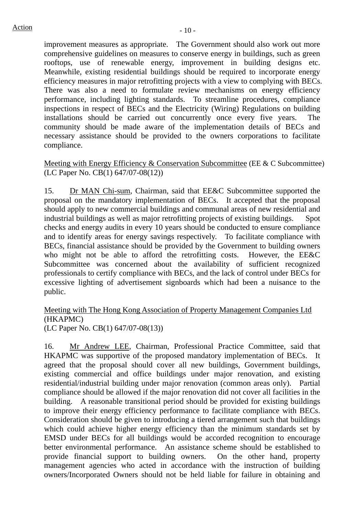improvement measures as appropriate. The Government should also work out more comprehensive guidelines on measures to conserve energy in buildings, such as green rooftops, use of renewable energy, improvement in building designs etc. Meanwhile, existing residential buildings should be required to incorporate energy efficiency measures in major retrofitting projects with a view to complying with BECs. There was also a need to formulate review mechanisms on energy efficiency performance, including lighting standards. To streamline procedures, compliance inspections in respect of BECs and the Electricity (Wiring) Regulations on building installations should be carried out concurrently once every five years. The community should be made aware of the implementation details of BECs and necessary assistance should be provided to the owners corporations to facilitate compliance.

Meeting with Energy Efficiency & Conservation Subcommittee (EE & C Subcommittee) (LC Paper No. CB(1) 647/07-08(12))

15. Dr MAN Chi-sum, Chairman, said that EE&C Subcommittee supported the proposal on the mandatory implementation of BECs. It accepted that the proposal should apply to new commercial buildings and communal areas of new residential and industrial buildings as well as major retrofitting projects of existing buildings. Spot checks and energy audits in every 10 years should be conducted to ensure compliance and to identify areas for energy savings respectively. To facilitate compliance with BECs, financial assistance should be provided by the Government to building owners who might not be able to afford the retrofitting costs. However, the EE&C Subcommittee was concerned about the availability of sufficient recognized professionals to certify compliance with BECs, and the lack of control under BECs for excessive lighting of advertisement signboards which had been a nuisance to the public.

## Meeting with The Hong Kong Association of Property Management Companies Ltd (HKAPMC) (LC Paper No. CB(1) 647/07-08(13))

16. Mr Andrew LEE, Chairman, Professional Practice Committee, said that HKAPMC was supportive of the proposed mandatory implementation of BECs. It agreed that the proposal should cover all new buildings, Government buildings, existing commercial and office buildings under major renovation, and existing residential/industrial building under major renovation (common areas only). Partial compliance should be allowed if the major renovation did not cover all facilities in the building. A reasonable transitional period should be provided for existing buildings to improve their energy efficiency performance to facilitate compliance with BECs. Consideration should be given to introducing a tiered arrangement such that buildings which could achieve higher energy efficiency than the minimum standards set by EMSD under BECs for all buildings would be accorded recognition to encourage better environmental performance. An assistance scheme should be established to provide financial support to building owners. On the other hand, property management agencies who acted in accordance with the instruction of building owners/Incorporated Owners should not be held liable for failure in obtaining and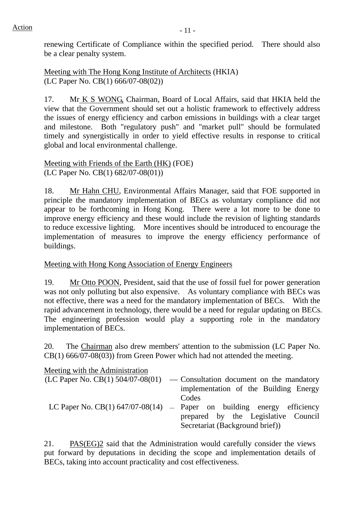renewing Certificate of Compliance within the specified period. There should also be a clear penalty system.

Meeting with The Hong Kong Institute of Architects (HKIA) (LC Paper No. CB(1) 666/07-08(02))

17. Mr K S WONG, Chairman, Board of Local Affairs, said that HKIA held the view that the Government should set out a holistic framework to effectively address the issues of energy efficiency and carbon emissions in buildings with a clear target and milestone. Both "regulatory push" and "market pull" should be formulated timely and synergistically in order to yield effective results in response to critical global and local environmental challenge.

Meeting with Friends of the Earth (HK) (FOE) (LC Paper No. CB(1) 682/07-08(01))

18. Mr Hahn CHU, Environmental Affairs Manager, said that FOE supported in principle the mandatory implementation of BECs as voluntary compliance did not appear to be forthcoming in Hong Kong. There were a lot more to be done to improve energy efficiency and these would include the revision of lighting standards to reduce excessive lighting. More incentives should be introduced to encourage the implementation of measures to improve the energy efficiency performance of buildings.

# Meeting with Hong Kong Association of Energy Engineers

19. Mr Otto POON, President, said that the use of fossil fuel for power generation was not only polluting but also expensive. As voluntary compliance with BECs was not effective, there was a need for the mandatory implementation of BECs. With the rapid advancement in technology, there would be a need for regular updating on BECs. The engineering profession would play a supporting role in the mandatory implementation of BECs.

20. The Chairman also drew members' attention to the submission (LC Paper No. CB(1) 666/07-08(03)) from Green Power which had not attended the meeting.

| Meeting with the Administration |                                                                              |
|---------------------------------|------------------------------------------------------------------------------|
|                                 | $(LC$ Paper No. CB(1) 504/07-08(01) — Consultation document on the mandatory |
|                                 | implementation of the Building Energy                                        |
|                                 | Codes                                                                        |
|                                 | LC Paper No. CB(1) $647/07-08(14)$ – Paper on building energy efficiency     |
|                                 | prepared by the Legislative Council                                          |
|                                 | Secretariat (Background brief))                                              |

21. PAS(EG)2 said that the Administration would carefully consider the views put forward by deputations in deciding the scope and implementation details of BECs, taking into account practicality and cost effectiveness.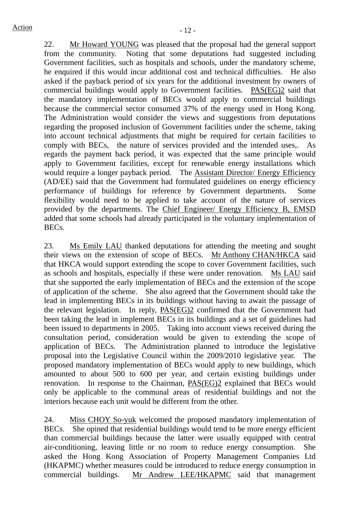22. Mr Howard YOUNG was pleased that the proposal had the general support from the community. Noting that some deputations had suggested including Government facilities, such as hospitals and schools, under the mandatory scheme, he enquired if this would incur additional cost and technical difficulties. He also asked if the payback period of six years for the additional investment by owners of commercial buildings would apply to Government facilities. PAS(EG)2 said that the mandatory implementation of BECs would apply to commercial buildings because the commercial sector consumed 37% of the energy used in Hong Kong. The Administration would consider the views and suggestions from deputations regarding the proposed inclusion of Government facilities under the scheme, taking into account technical adjustments that might be required for certain facilities to comply with BECs, the nature of services provided and the intended uses,. As regards the payment back period, it was expected that the same principle would apply to Government facilities, except for renewable energy installations which would require a longer payback period. The Assistant Director/ Energy Efficiency (AD/EE) said that the Government had formulated guidelines on energy efficiency performance of buildings for reference by Government departments. Some flexibility would need to be applied to take account of the nature of services provided by the departments. The Chief Engineer/ Energy Efficiency B, EMSD added that some schools had already participated in the voluntary implementation of BECs.

23. Ms Emily LAU thanked deputations for attending the meeting and sought their views on the extension of scope of BECs. Mr Anthony CHAN/HKCA said that HKCA would support extending the scope to cover Government facilities, such as schools and hospitals, especially if these were under renovation. Ms LAU said that she supported the early implementation of BECs and the extension of the scope of application of the scheme. She also agreed that the Government should take the lead in implementing BECs in its buildings without having to await the passage of the relevant legislation. In reply, PAS(EG)2 confirmed that the Government had been taking the lead in implement BECs in its buildings and a set of guidelines had been issued to departments in 2005. Taking into account views received during the consultation period, consideration would be given to extending the scope of application of BECs. The Administration planned to introduce the legislative proposal into the Legislative Council within the 2009/2010 legislative year. The proposed mandatory implementation of BECs would apply to new buildings, which amounted to about 500 to 600 per year, and certain existing buildings under renovation. In response to the Chairman, PAS(EG)2 explained that BECs would only be applicable to the communal areas of residential buildings and not the interiors because each unit would be different from the other.

24. Miss CHOY So-yuk welcomed the proposed mandatory implementation of BECs. She opined that residential buildings would tend to be more energy efficient than commercial buildings because the latter were usually equipped with central air-conditioning, leaving little or no room to reduce energy consumption. She asked the Hong Kong Association of Property Management Companies Ltd (HKAPMC) whether measures could be introduced to reduce energy consumption in commercial buildings. Mr Andrew LEE/HKAPMC said that management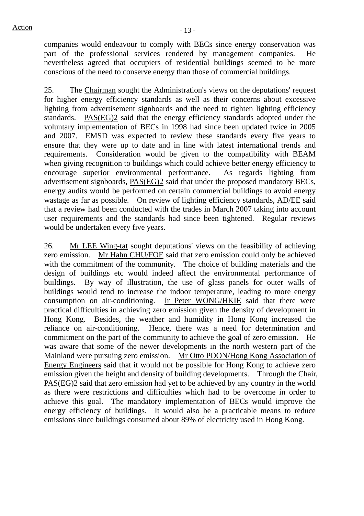companies would endeavour to comply with BECs since energy conservation was part of the professional services rendered by management companies. He nevertheless agreed that occupiers of residential buildings seemed to be more conscious of the need to conserve energy than those of commercial buildings.

25. The Chairman sought the Administration's views on the deputations' request for higher energy efficiency standards as well as their concerns about excessive lighting from advertisement signboards and the need to tighten lighting efficiency standards. PAS(EG)2 said that the energy efficiency standards adopted under the voluntary implementation of BECs in 1998 had since been updated twice in 2005 and 2007. EMSD was expected to review these standards every five years to ensure that they were up to date and in line with latest international trends and requirements. Consideration would be given to the compatibility with BEAM when giving recognition to buildings which could achieve better energy efficiency to encourage superior environmental performance. As regards lighting from advertisement signboards, PAS(EG)2 said that under the proposed mandatory BECs, energy audits would be performed on certain commercial buildings to avoid energy wastage as far as possible. On review of lighting efficiency standards, AD/EE said that a review had been conducted with the trades in March 2007 taking into account user requirements and the standards had since been tightened. Regular reviews would be undertaken every five years.

26. Mr LEE Wing-tat sought deputations' views on the feasibility of achieving zero emission. Mr Hahn CHU/FOE said that zero emission could only be achieved with the commitment of the community. The choice of building materials and the design of buildings etc would indeed affect the environmental performance of buildings. By way of illustration, the use of glass panels for outer walls of buildings would tend to increase the indoor temperature, leading to more energy consumption on air-conditioning. Ir Peter WONG/HKIE said that there were practical difficulties in achieving zero emission given the density of development in Hong Kong. Besides, the weather and humidity in Hong Kong increased the reliance on air-conditioning. Hence, there was a need for determination and commitment on the part of the community to achieve the goal of zero emission. He was aware that some of the newer developments in the north western part of the Mainland were pursuing zero emission. Mr Otto POON/Hong Kong Association of Energy Engineers said that it would not be possible for Hong Kong to achieve zero emission given the height and density of building developments. Through the Chair, PAS(EG)2 said that zero emission had yet to be achieved by any country in the world as there were restrictions and difficulties which had to be overcome in order to achieve this goal. The mandatory implementation of BECs would improve the energy efficiency of buildings. It would also be a practicable means to reduce emissions since buildings consumed about 89% of electricity used in Hong Kong.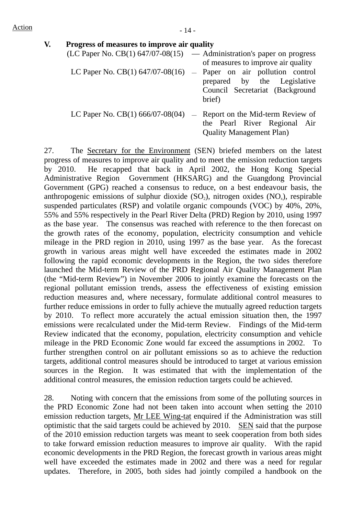| V. | Progress of measures to improve air quality                                  |  |                                                                          |  |  |  |  |  |  |
|----|------------------------------------------------------------------------------|--|--------------------------------------------------------------------------|--|--|--|--|--|--|
|    | $(LC$ Paper No. $CB(1)$ 647/07-08(15) $-$ Administration's paper on progress |  | of measures to improve air quality                                       |  |  |  |  |  |  |
|    | LC Paper No. CB $(1)$ 647/07-08 $(16)$ - Paper on air pollution control      |  | prepared by the Legislative<br>Council Secretariat (Background<br>brief) |  |  |  |  |  |  |
|    | LC Paper No. CB(1) $666/07-08(04)$ - Report on the Mid-term Review of        |  | the Pearl River Regional Air<br><b>Quality Management Plan)</b>          |  |  |  |  |  |  |

27. The Secretary for the Environment (SEN) briefed members on the latest progress of measures to improve air quality and to meet the emission reduction targets by 2010. He recapped that back in April 2002, the Hong Kong Special Administrative Region Government (HKSARG) and the Guangdong Provincial Government (GPG) reached a consensus to reduce, on a best endeavour basis, the anthropogenic emissions of sulphur dioxide  $(SO_2)$ , nitrogen oxides  $(NO_x)$ , respirable suspended particulates (RSP) and volatile organic compounds (VOC) by 40%, 20%, 55% and 55% respectively in the Pearl River Delta (PRD) Region by 2010, using 1997 as the base year. The consensus was reached with reference to the then forecast on the growth rates of the economy, population, electricity consumption and vehicle mileage in the PRD region in 2010, using 1997 as the base year. As the forecast growth in various areas might well have exceeded the estimates made in 2002 following the rapid economic developments in the Region, the two sides therefore launched the Mid-term Review of the PRD Regional Air Quality Management Plan (the "Mid-term Review") in November 2006 to jointly examine the forecasts on the regional pollutant emission trends, assess the effectiveness of existing emission reduction measures and, where necessary, formulate additional control measures to further reduce emissions in order to fully achieve the mutually agreed reduction targets by 2010. To reflect more accurately the actual emission situation then, the 1997 emissions were recalculated under the Mid-term Review. Findings of the Mid-term Review indicated that the economy, population, electricity consumption and vehicle mileage in the PRD Economic Zone would far exceed the assumptions in 2002. To further strengthen control on air pollutant emissions so as to achieve the reduction targets, additional control measures should be introduced to target at various emission sources in the Region. It was estimated that with the implementation of the additional control measures, the emission reduction targets could be achieved.

28. Noting with concern that the emissions from some of the polluting sources in the PRD Economic Zone had not been taken into account when setting the 2010 emission reduction targets, Mr LEE Wing-tat enquired if the Administration was still optimistic that the said targets could be achieved by 2010. SEN said that the purpose of the 2010 emission reduction targets was meant to seek cooperation from both sides to take forward emission reduction measures to improve air quality. With the rapid economic developments in the PRD Region, the forecast growth in various areas might well have exceeded the estimates made in 2002 and there was a need for regular updates. Therefore, in 2005, both sides had jointly compiled a handbook on the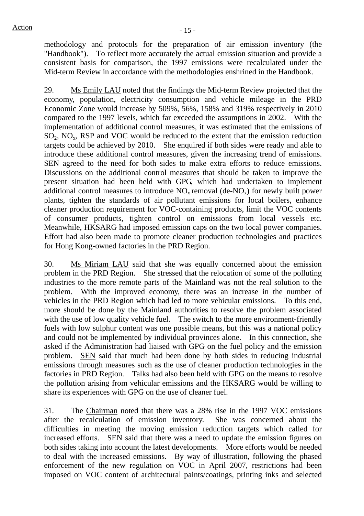methodology and protocols for the preparation of air emission inventory (the "Handbook"). To reflect more accurately the actual emission situation and provide a consistent basis for comparison, the 1997 emissions were recalculated under the Mid-term Review in accordance with the methodologies enshrined in the Handbook.

29. Ms Emily LAU noted that the findings the Mid-term Review projected that the economy, population, electricity consumption and vehicle mileage in the PRD Economic Zone would increase by 509%, 56%, 158% and 319% respectively in 2010 compared to the 1997 levels, which far exceeded the assumptions in 2002. With the implementation of additional control measures, it was estimated that the emissions of  $SO_2$ ,  $NO_x$ , RSP and VOC would be reduced to the extent that the emission reduction targets could be achieved by 2010. She enquired if both sides were ready and able to introduce these additional control measures, given the increasing trend of emissions. SEN agreed to the need for both sides to make extra efforts to reduce emissions. Discussions on the additional control measures that should be taken to improve the present situation had been held with GPG, which had undertaken to implement additional control measures to introduce  $NO<sub>x</sub>$  removal (de-NO<sub>x</sub>) for newly built power plants, tighten the standards of air pollutant emissions for local boilers, enhance cleaner production requirement for VOC-containing products, limit the VOC contents of consumer products, tighten control on emissions from local vessels etc. Meanwhile, HKSARG had imposed emission caps on the two local power companies. Effort had also been made to promote cleaner production technologies and practices for Hong Kong-owned factories in the PRD Region.

30. Ms Miriam LAU said that she was equally concerned about the emission problem in the PRD Region. She stressed that the relocation of some of the polluting industries to the more remote parts of the Mainland was not the real solution to the problem. With the improved economy, there was an increase in the number of vehicles in the PRD Region which had led to more vehicular emissions. To this end, more should be done by the Mainland authorities to resolve the problem associated with the use of low quality vehicle fuel. The switch to the more environment-friendly fuels with low sulphur content was one possible means, but this was a national policy and could not be implemented by individual provinces alone. In this connection, she asked if the Administration had liaised with GPG on the fuel policy and the emission problem. SEN said that much had been done by both sides in reducing industrial emissions through measures such as the use of cleaner production technologies in the factories in PRD Region. Talks had also been held with GPG on the means to resolve the pollution arising from vehicular emissions and the HKSARG would be willing to share its experiences with GPG on the use of cleaner fuel.

31. The Chairman noted that there was a 28% rise in the 1997 VOC emissions after the recalculation of emission inventory. She was concerned about the difficulties in meeting the moving emission reduction targets which called for increased efforts. SEN said that there was a need to update the emission figures on both sides taking into account the latest developments. More efforts would be needed to deal with the increased emissions. By way of illustration, following the phased enforcement of the new regulation on VOC in April 2007, restrictions had been imposed on VOC content of architectural paints/coatings, printing inks and selected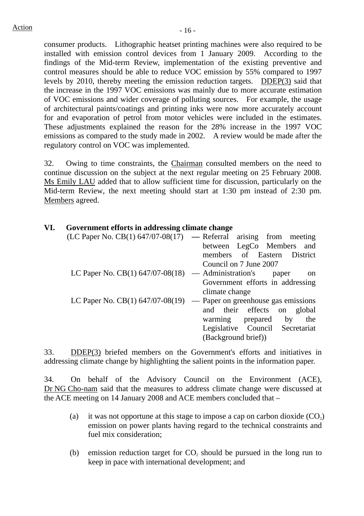consumer products. Lithographic heatset printing machines were also required to be installed with emission control devices from 1 January 2009. According to the findings of the Mid-term Review, implementation of the existing preventive and control measures should be able to reduce VOC emission by 55% compared to 1997 levels by 2010, thereby meeting the emission reduction targets. DDEP(3) said that the increase in the 1997 VOC emissions was mainly due to more accurate estimation of VOC emissions and wider coverage of polluting sources. For example, the usage of architectural paints/coatings and printing inks were now more accurately account for and evaporation of petrol from motor vehicles were included in the estimates. These adjustments explained the reason for the 28% increase in the 1997 VOC emissions as compared to the study made in 2002. A review would be made after the regulatory control on VOC was implemented.

32. Owing to time constraints, the Chairman consulted members on the need to continue discussion on the subject at the next regular meeting on 25 February 2008. Ms Emily LAU added that to allow sufficient time for discussion, particularly on the Mid-term Review, the next meeting should start at 1:30 pm instead of 2:30 pm. Members agreed.

# **VI. Government efforts in addressing climate change**

|                                                       | $(LC$ Paper No. $CB(1)$ 647/07-08(17) — Referral arising from meeting  |
|-------------------------------------------------------|------------------------------------------------------------------------|
|                                                       | between LegCo Members and                                              |
|                                                       | members of Eastern District                                            |
|                                                       | Council on 7 June 2007                                                 |
| LC Paper No. $CB(1)$ 647/07-08(18) — Administration's | paper<br><sub>on</sub>                                                 |
|                                                       | Government efforts in addressing                                       |
|                                                       | climate change                                                         |
|                                                       | LC Paper No. CB(1) $647/07-08(19)$ — Paper on greenhouse gas emissions |
|                                                       | and their effects on global                                            |
|                                                       | warming prepared<br>by<br>the                                          |
|                                                       | Legislative Council Secretariat                                        |
|                                                       | (Background brief))                                                    |

33. DDEP(3) briefed members on the Government's efforts and initiatives in addressing climate change by highlighting the salient points in the information paper.

34. On behalf of the Advisory Council on the Environment (ACE), Dr NG Cho-nam said that the measures to address climate change were discussed at the ACE meeting on 14 January 2008 and ACE members concluded that –

- (a) it was not opportune at this stage to impose a cap on carbon dioxide  $(CO<sub>2</sub>)$ emission on power plants having regard to the technical constraints and fuel mix consideration;
- (b) emission reduction target for  $CO<sub>2</sub>$  should be pursued in the long run to keep in pace with international development; and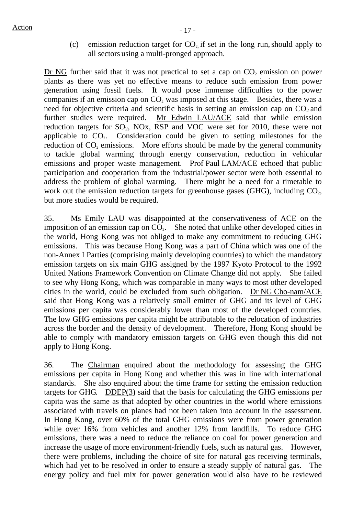(c) emission reduction target for  $CO<sub>2</sub>$  if set in the long run, should apply to all sectors using a multi-pronged approach.

Dr NG further said that it was not practical to set a cap on  $CO<sub>2</sub>$  emission on power plants as there was yet no effective means to reduce such emission from power generation using fossil fuels. It would pose immense difficulties to the power companies if an emission cap on  $CO<sub>2</sub>$  was imposed at this stage. Besides, there was a need for objective criteria and scientific basis in setting an emission cap on  $CO<sub>2</sub>$  and further studies were required. Mr Edwin LAU/ACE said that while emission reduction targets for  $SO_2$ , NOx, RSP and VOC were set for 2010, these were not applicable to  $CO<sub>2</sub>$ . Consideration could be given to setting milestones for the reduction of  $CO<sub>2</sub>$  emissions. More efforts should be made by the general community to tackle global warming through energy conservation, reduction in vehicular emissions and proper waste management. Prof Paul LAM/ACE echoed that public participation and cooperation from the industrial/power sector were both essential to address the problem of global warming. There might be a need for a timetable to work out the emission reduction targets for greenhouse gases (GHG), including  $CO<sub>2</sub>$ , but more studies would be required.

35. Ms Emily LAU was disappointed at the conservativeness of ACE on the imposition of an emission cap on  $CO<sub>2</sub>$ . She noted that unlike other developed cities in the world, Hong Kong was not obliged to make any commitment to reducing GHG emissions. This was because Hong Kong was a part of China which was one of the non-Annex I Parties (comprising mainly developing countries) to which the mandatory emission targets on six main GHG assigned by the 1997 Kyoto Protocol to the 1992 United Nations Framework Convention on Climate Change did not apply. She failed to see why Hong Kong, which was comparable in many ways to most other developed cities in the world, could be excluded from such obligation. Dr NG Cho-nam/ACE said that Hong Kong was a relatively small emitter of GHG and its level of GHG emissions per capita was considerably lower than most of the developed countries. The low GHG emissions per capita might be attributable to the relocation of industries across the border and the density of development. Therefore, Hong Kong should be able to comply with mandatory emission targets on GHG even though this did not apply to Hong Kong.

36. The Chairman enquired about the methodology for assessing the GHG emissions per capita in Hong Kong and whether this was in line with international standards. She also enquired about the time frame for setting the emission reduction targets for GHG. DDEP(3) said that the basis for calculating the GHG emissions per capita was the same as that adopted by other countries in the world where emissions associated with travels on planes had not been taken into account in the assessment. In Hong Kong, over 60% of the total GHG emissions were from power generation while over 16% from vehicles and another 12% from landfills. To reduce GHG emissions, there was a need to reduce the reliance on coal for power generation and increase the usage of more environment-friendly fuels, such as natural gas. However, there were problems, including the choice of site for natural gas receiving terminals, which had yet to be resolved in order to ensure a steady supply of natural gas. The energy policy and fuel mix for power generation would also have to be reviewed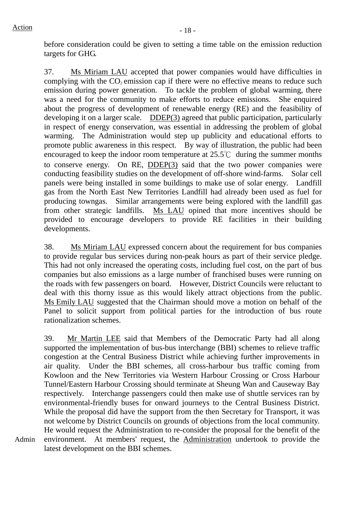Admin

before consideration could be given to setting a time table on the emission reduction targets for GHG.

37. Ms Miriam LAU accepted that power companies would have difficulties in complying with the  $CO<sub>2</sub>$  emission cap if there were no effective means to reduce such emission during power generation. To tackle the problem of global warming, there was a need for the community to make efforts to reduce emissions. She enquired about the progress of development of renewable energy (RE) and the feasibility of developing it on a larger scale. DDEP(3) agreed that public participation, particularly in respect of energy conservation, was essential in addressing the problem of global warming. The Administration would step up publicity and educational efforts to promote public awareness in this respect. By way of illustration, the public had been encouraged to keep the indoor room temperature at 25.5℃ during the summer months to conserve energy. On RE, DDEP(3) said that the two power companies were conducting feasibility studies on the development of off-shore wind-farms. Solar cell panels were being installed in some buildings to make use of solar energy. Landfill gas from the North East New Territories Landfill had already been used as fuel for producing towngas. Similar arrangements were being explored with the landfill gas from other strategic landfills. Ms LAU opined that more incentives should be provided to encourage developers to provide RE facilities in their building developments.

38. Ms Miriam LAU expressed concern about the requirement for bus companies to provide regular bus services during non-peak hours as part of their service pledge. This had not only increased the operating costs, including fuel cost, on the part of bus companies but also emissions as a large number of franchised buses were running on the roads with few passengers on board. However, District Councils were reluctant to deal with this thorny issue as this would likely attract objections from the public. Ms Emily LAU suggested that the Chairman should move a motion on behalf of the Panel to solicit support from political parties for the introduction of bus route rationalization schemes.

39. Mr Martin LEE said that Members of the Democratic Party had all along supported the implementation of bus-bus interchange (BBI) schemes to relieve traffic congestion at the Central Business District while achieving further improvements in air quality. Under the BBI schemes, all cross-harbour bus traffic coming from Kowloon and the New Territories via Western Harbour Crossing or Cross Harbour Tunnel/Eastern Harbour Crossing should terminate at Sheung Wan and Causeway Bay respectively. Interchange passengers could then make use of shuttle services ran by environmental-friendly buses for onward journeys to the Central Business District. While the proposal did have the support from the then Secretary for Transport, it was not welcome by District Councils on grounds of objections from the local community. He would request the Administration to re-consider the proposal for the benefit of the environment. At members' request, the Administration undertook to provide the latest development on the BBI schemes.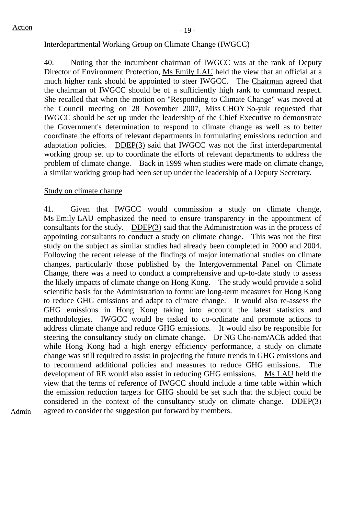## Interdepartmental Working Group on Climate Change (IWGCC)

40. Noting that the incumbent chairman of IWGCC was at the rank of Deputy Director of Environment Protection, Ms Emily LAU held the view that an official at a much higher rank should be appointed to steer IWGCC. The Chairman agreed that the chairman of IWGCC should be of a sufficiently high rank to command respect. She recalled that when the motion on "Responding to Climate Change" was moved at the Council meeting on 28 November 2007, Miss CHOY So-yuk requested that IWGCC should be set up under the leadership of the Chief Executive to demonstrate the Government's determination to respond to climate change as well as to better coordinate the efforts of relevant departments in formulating emissions reduction and adaptation policies. DDEP(3) said that IWGCC was not the first interdepartmental working group set up to coordinate the efforts of relevant departments to address the problem of climate change. Back in 1999 when studies were made on climate change, a similar working group had been set up under the leadership of a Deputy Secretary.

## Study on climate change

41. Given that IWGCC would commission a study on climate change, Ms Emily LAU emphasized the need to ensure transparency in the appointment of consultants for the study. DDEP(3) said that the Administration was in the process of appointing consultants to conduct a study on climate change. This was not the first study on the subject as similar studies had already been completed in 2000 and 2004. Following the recent release of the findings of major international studies on climate changes, particularly those published by the Intergovernmental Panel on Climate Change, there was a need to conduct a comprehensive and up-to-date study to assess the likely impacts of climate change on Hong Kong. The study would provide a solid scientific basis for the Administration to formulate long-term measures for Hong Kong to reduce GHG emissions and adapt to climate change. It would also re-assess the GHG emissions in Hong Kong taking into account the latest statistics and methodologies. IWGCC would be tasked to co-ordinate and promote actions to address climate change and reduce GHG emissions. It would also be responsible for steering the consultancy study on climate change. Dr NG Cho-nam/ACE added that while Hong Kong had a high energy efficiency performance, a study on climate change was still required to assist in projecting the future trends in GHG emissions and to recommend additional policies and measures to reduce GHG emissions. The development of RE would also assist in reducing GHG emissions. Ms LAU held the view that the terms of reference of IWGCC should include a time table within which the emission reduction targets for GHG should be set such that the subject could be considered in the context of the consultancy study on climate change. DDEP(3) agreed to consider the suggestion put forward by members.

Admin